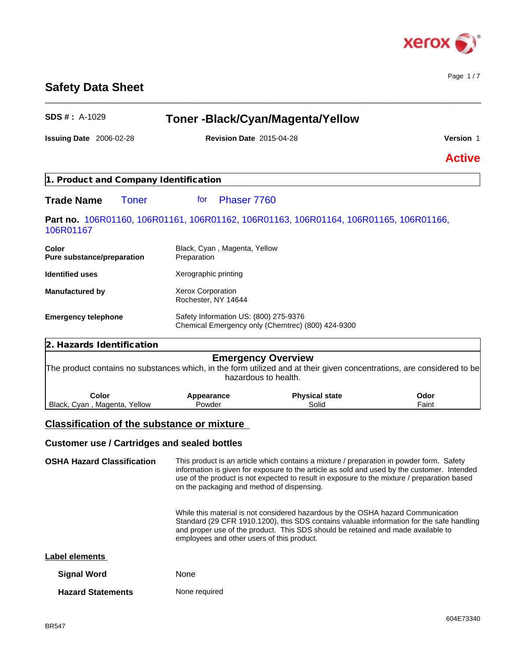

Page 1 / 7

# **Safety Data Sheet**

| <b>SDS #: A-1029</b>                       |                                                                                                                        | <b>Toner-Black/Cyan/Magenta/Yellow</b>            |               |
|--------------------------------------------|------------------------------------------------------------------------------------------------------------------------|---------------------------------------------------|---------------|
| Issuing Date 2006-02-28                    | <b>Revision Date 2015-04-28</b>                                                                                        |                                                   | Version 1     |
|                                            |                                                                                                                        |                                                   | <b>Active</b> |
| 1. Product and Company Identification      |                                                                                                                        |                                                   |               |
| <b>Trade Name</b><br><b>Toner</b>          | Phaser 7760<br>for                                                                                                     |                                                   |               |
| 106R01167                                  | Part no. 106R01160, 106R01161, 106R01162, 106R01163, 106R01164, 106R01165, 106R01166,                                  |                                                   |               |
| <b>Color</b><br>Pure substance/preparation | Black, Cyan, Magenta, Yellow<br>Preparation                                                                            |                                                   |               |
| <b>Identified uses</b>                     | Xerographic printing                                                                                                   |                                                   |               |
| <b>Manufactured by</b>                     | <b>Xerox Corporation</b><br>Rochester, NY 14644                                                                        |                                                   |               |
| <b>Emergency telephone</b>                 | Safety Information US: (800) 275-9376                                                                                  | Chemical Emergency only (Chemtrec) (800) 424-9300 |               |
| 2. Hazards Identification                  |                                                                                                                        |                                                   |               |
|                                            | The product contains no substances which, in the form utilized and at their given concentrations, are considered to be | <b>Emergency Overview</b><br>hazardous to health. |               |
| Color<br>Black, Cyan, Magenta, Yellow      | Appearance<br>Powder                                                                                                   | <b>Physical state</b><br>Solid                    | Odor<br>Faint |
|                                            | <b>Classification of the substance or mixture</b>                                                                      |                                                   |               |
|                                            |                                                                                                                        |                                                   |               |
|                                            | <b>Customer use / Cartridges and sealed bottles</b>                                                                    |                                                   |               |
|                                            | the contract of the contract of the contract of the contract of the contract of the contract of the contract of        |                                                   |               |

\_\_\_\_\_\_\_\_\_\_\_\_\_\_\_\_\_\_\_\_\_\_\_\_\_\_\_\_\_\_\_\_\_\_\_\_\_\_\_\_\_\_\_\_\_\_\_\_\_\_\_\_\_\_\_\_\_\_\_\_\_\_\_\_\_\_\_\_\_\_\_\_\_\_\_\_\_\_\_\_\_\_\_\_\_\_\_\_\_\_\_\_\_\_

**OSHA Hazard Classification** This product is an article which contains a mixture / preparation in powder form. Safety information is given for exposure to the article as sold and used by the customer. Intended use of the product is not expected to result in exposure to the mixture / preparation based on the packaging and method of dispensing.

> While this material is not considered hazardous by the OSHA hazard Communication Standard (29 CFR 1910.1200), this SDS contains valuable information for the safe handling and proper use of the product. This SDS should be retained and made available to employees and other users of this product.

| Label elements |
|----------------|
|----------------|

| <b>Signal Word</b>       | <b>None</b>   |
|--------------------------|---------------|
| <b>Hazard Statements</b> | None required |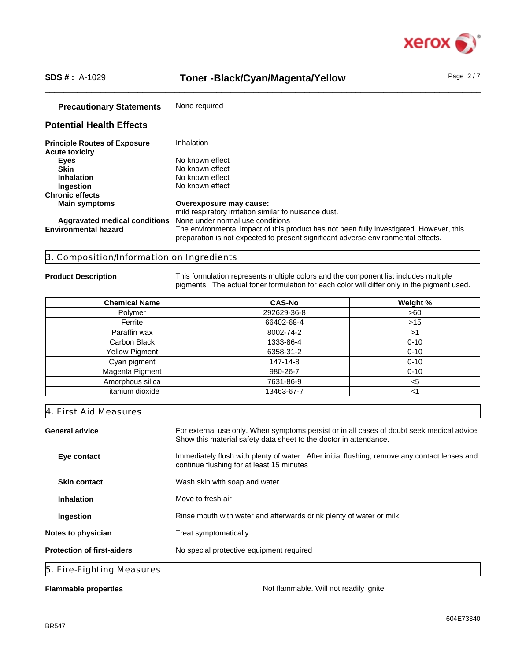

## SDS #: A-1029 **Toner -Black/Cyan/Magenta/Yellow** Page 2/7

| <b>Precautionary Statements</b>     | None required                                                                                                                                                                |
|-------------------------------------|------------------------------------------------------------------------------------------------------------------------------------------------------------------------------|
| <b>Potential Health Effects</b>     |                                                                                                                                                                              |
| <b>Principle Routes of Exposure</b> | Inhalation                                                                                                                                                                   |
| <b>Acute toxicity</b>               |                                                                                                                                                                              |
| Eyes                                | No known effect                                                                                                                                                              |
| <b>Skin</b>                         | No known effect                                                                                                                                                              |
| <b>Inhalation</b>                   | No known effect                                                                                                                                                              |
| Ingestion                           | No known effect                                                                                                                                                              |
| <b>Chronic effects</b>              |                                                                                                                                                                              |
| <b>Main symptoms</b>                | Overexposure may cause:                                                                                                                                                      |
|                                     | mild respiratory irritation similar to nuisance dust.                                                                                                                        |
| Aggravated medical conditions       | None under normal use conditions                                                                                                                                             |
| <b>Environmental hazard</b>         | The environmental impact of this product has not been fully investigated. However, this<br>preparation is not expected to present significant adverse environmental effects. |

### 3. Composition/Information on Ingredients

**Product Description** This formulation represents multiple colors and the component list includes multiple pigments. The actual toner formulation for each color will differ only in the pigment used.

| <b>Chemical Name</b>  | <b>CAS-No</b> | Weight % |
|-----------------------|---------------|----------|
| Polymer               | 292629-36-8   | >60      |
| Ferrite               | 66402-68-4    | $>15$    |
| Paraffin wax          | 8002-74-2     | >1       |
| Carbon Black          | 1333-86-4     | $0 - 10$ |
| <b>Yellow Pigment</b> | 6358-31-2     | $0 - 10$ |
| Cyan pigment          | 147-14-8      | $0 - 10$ |
| Magenta Pigment       | 980-26-7      | $0 - 10$ |
| Amorphous silica      | 7631-86-9     | $5$      |
| Titanium dioxide      | 13463-67-7    | <1       |

## 4. First Aid Measures

General advice **For external use only.** When symptoms persist or in all cases of doubt seek medical advice. Show this material safety data sheet to the doctor in attendance. **Eye contact** Immediately flush with plenty of water. After initial flushing, remove any contact lenses and continue flushing for at least 15 minutes **Skin contact** Wash skin with soap and water **Inhalation** Move to fresh air **Ingestion Rinse mouth with water and afterwards drink plenty of water or milk Notes to physician** Treat symptomatically **Protection of first-aiders** No special protective equipment required 5. Fire-Fighting Measures

**Flammable properties Not flammable. Will not readily ignite Not flammable. Will not readily ignite**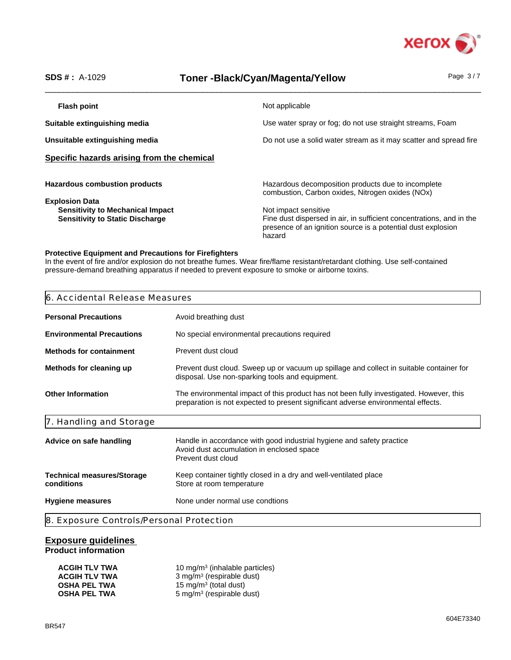

# SDS #: A-1029 **Toner -Black/Cyan/Magenta/Yellow** Page 3/7

| Flash point                                                                                                | Not applicable                                                                                                                                                         |
|------------------------------------------------------------------------------------------------------------|------------------------------------------------------------------------------------------------------------------------------------------------------------------------|
| Suitable extinguishing media                                                                               | Use water spray or fog; do not use straight streams, Foam                                                                                                              |
| Unsuitable extinguishing media                                                                             | Do not use a solid water stream as it may scatter and spread fire                                                                                                      |
| Specific hazards arising from the chemical                                                                 |                                                                                                                                                                        |
| <b>Hazardous combustion products</b>                                                                       | Hazardous decomposition products due to incomplete<br>combustion, Carbon oxides, Nitrogen oxides (NOx)                                                                 |
| <b>Explosion Data</b><br><b>Sensitivity to Mechanical Impact</b><br><b>Sensitivity to Static Discharge</b> | Not impact sensitive<br>Fine dust dispersed in air, in sufficient concentrations, and in the<br>presence of an ignition source is a potential dust explosion<br>hazard |

## **Protective Equipment and Precautions for Firefighters**

In the event of fire and/or explosion do not breathe fumes. Wear fire/flame resistant/retardant clothing. Use self-contained pressure-demand breathing apparatus if needed to prevent exposure to smoke or airborne toxins.

| 6. Accidental Release Measures                                                                                                                                               |
|------------------------------------------------------------------------------------------------------------------------------------------------------------------------------|
| Avoid breathing dust                                                                                                                                                         |
| No special environmental precautions required                                                                                                                                |
| Prevent dust cloud                                                                                                                                                           |
| Prevent dust cloud. Sweep up or vacuum up spillage and collect in suitable container for<br>disposal. Use non-sparking tools and equipment.                                  |
| The environmental impact of this product has not been fully investigated. However, this<br>preparation is not expected to present significant adverse environmental effects. |
|                                                                                                                                                                              |
| Handle in accordance with good industrial hygiene and safety practice<br>Avoid dust accumulation in enclosed space<br>Prevent dust cloud                                     |
| Keep container tightly closed in a dry and well-ventilated place<br>Store at room temperature                                                                                |
| None under normal use condtions                                                                                                                                              |
|                                                                                                                                                                              |

# **Exposure guidelines**

**Product information**

| <b>ACGIH TLV TWA</b> | 10 mg/m <sup>3</sup> (inhalable particles) |
|----------------------|--------------------------------------------|
| <b>ACGIH TLV TWA</b> | 3 mg/m <sup>3</sup> (respirable dust)      |
| <b>OSHA PEL TWA</b>  | 15 mg/m <sup>3</sup> (total dust)          |
| <b>OSHA PEL TWA</b>  | 5 mg/m <sup>3</sup> (respirable dust)      |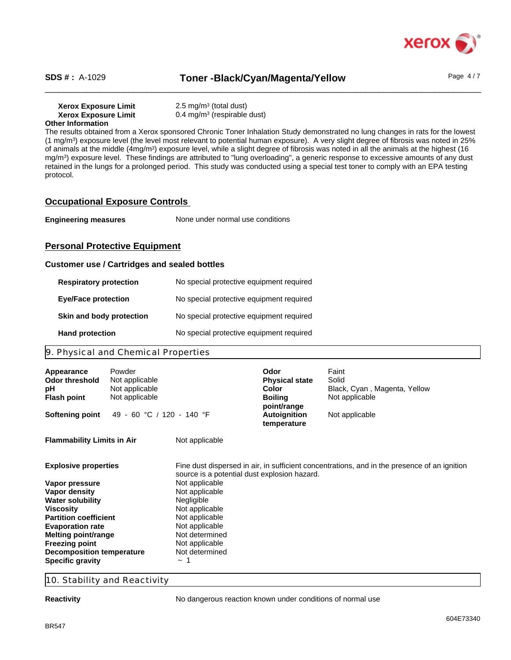

SDS #: A-1029 **Toner -Black/Cyan/Magenta/Yellow** Page 4/7

**Xerox Exposure Limit<br>Xerox Exposure Limit Xerox Exposure Limit** 0.4 mg/m<sup>3</sup> (respirable dust) **Other Information**

The results obtained from a Xerox sponsored Chronic Toner Inhalation Study demonstrated no lung changes in rats for the lowest (1 mg/m<sup>3</sup> ) exposure level (the level most relevant to potential human exposure). A very slight degree of fibrosis was noted in 25% of animals at the middle (4mg/m<sup>3</sup>) exposure level, while a slight degree of fibrosis was noted in all the animals at the highest (16 mg/m<sup>3</sup> ) exposure level. These findings are attributed to "lung overloading", a generic response to excessive amounts of any dust retained in the lungs for a prolonged period. This study was conducted using a special test toner to comply with an EPA testing protocol.

 $2.5 \text{ mg/m}^3$  (total dust)

## **Occupational Exposure Controls**

**Engineering measures** None under normal use conditions

## **Personal Protective Equipment**

### **Customer use / Cartridges and sealed bottles**

| <b>Respiratory protection</b> | No special protective equipment required |
|-------------------------------|------------------------------------------|
| <b>Eye/Face protection</b>    | No special protective equipment required |
| Skin and body protection      | No special protective equipment required |
| <b>Hand protection</b>        | No special protective equipment required |

## 9. Physical and Chemical Properties

| Appearance<br>Odor threshold<br>рH<br><b>Flash point</b>                                                                                                                                                                                                 | Powder<br>Not applicable<br>Not applicable<br>Not applicable |                                                                                                                                                                                     | Odor<br><b>Physical state</b><br>Color<br><b>Boiling</b><br>point/range | Faint<br>Solid<br>Black, Cyan, Magenta, Yellow<br>Not applicable                             |
|----------------------------------------------------------------------------------------------------------------------------------------------------------------------------------------------------------------------------------------------------------|--------------------------------------------------------------|-------------------------------------------------------------------------------------------------------------------------------------------------------------------------------------|-------------------------------------------------------------------------|----------------------------------------------------------------------------------------------|
| <b>Softening point</b>                                                                                                                                                                                                                                   | 49 - 60 °C / 120 - 140 °F                                    |                                                                                                                                                                                     | <b>Autoignition</b><br>temperature                                      | Not applicable                                                                               |
| <b>Flammability Limits in Air</b>                                                                                                                                                                                                                        |                                                              | Not applicable                                                                                                                                                                      |                                                                         |                                                                                              |
| <b>Explosive properties</b>                                                                                                                                                                                                                              |                                                              | source is a potential dust explosion hazard.                                                                                                                                        |                                                                         | Fine dust dispersed in air, in sufficient concentrations, and in the presence of an ignition |
| Vapor pressure<br>Vapor density<br><b>Water solubility</b><br><b>Viscosity</b><br><b>Partition coefficient</b><br><b>Evaporation rate</b><br>Melting point/range<br><b>Freezing point</b><br><b>Decomposition temperature</b><br><b>Specific gravity</b> |                                                              | Not applicable<br>Not applicable<br>Negligible<br>Not applicable<br>Not applicable<br>Not applicable<br>Not determined<br>Not applicable<br>Not determined<br>$\tilde{\phantom{a}}$ |                                                                         |                                                                                              |

10. Stability and Reactivity

**Reactivity Reactivity No dangerous reaction known under conditions of normal use**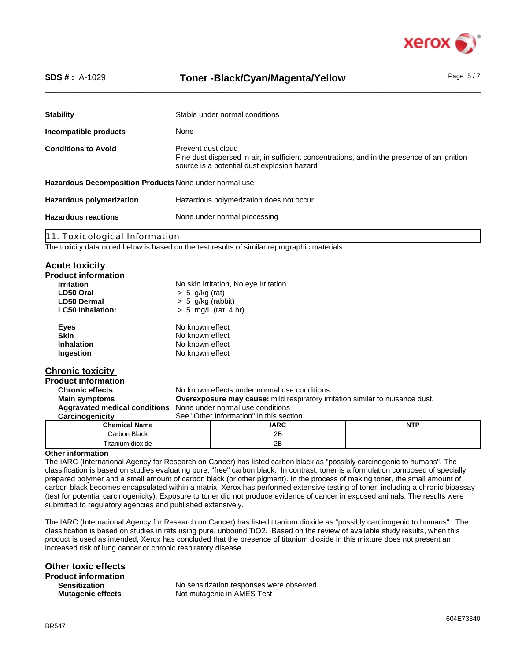

# SDS #: A-1029 **Toner -Black/Cyan/Magenta/Yellow** Page 5/7

| <b>Stability</b>                                       | Stable under normal conditions                                                                                                                                    |  |  |
|--------------------------------------------------------|-------------------------------------------------------------------------------------------------------------------------------------------------------------------|--|--|
| Incompatible products                                  | None                                                                                                                                                              |  |  |
| <b>Conditions to Avoid</b>                             | Prevent dust cloud<br>Fine dust dispersed in air, in sufficient concentrations, and in the presence of an ignition<br>source is a potential dust explosion hazard |  |  |
| Hazardous Decomposition Products None under normal use |                                                                                                                                                                   |  |  |
| <b>Hazardous polymerization</b>                        | Hazardous polymerization does not occur                                                                                                                           |  |  |
| <b>Hazardous reactions</b>                             | None under normal processing                                                                                                                                      |  |  |
|                                                        |                                                                                                                                                                   |  |  |

11. Toxicological Information

The toxicity data noted below is based on the test results of similar reprographic materials.

## **Acute toxicity**

| <b>Product information</b> |                                       |
|----------------------------|---------------------------------------|
| <b>Irritation</b>          | No skin irritation, No eye irritation |
| LD50 Oral                  | $> 5$ g/kg (rat)                      |
| <b>LD50 Dermal</b>         | $> 5$ g/kg (rabbit)                   |
| <b>LC50 Inhalation:</b>    | $> 5$ mg/L (rat, 4 hr)                |
| Eyes                       | No known effect                       |
| <b>Skin</b>                | No known effect                       |
| Inhalation                 | No known effect                       |
| Ingestion                  | No known effect                       |

## **Chronic toxicity**

**Product information** No known effects under normal use conditions **Main symptoms Overexposure may cause:** mild respiratory irritation similar to nuisance dust. **Aggravated medical conditions** None under normal use conditions **Carcinogenicity** See "Other Information" in this section. **Chemical Name IARC NTP**

| .nemicai name         | IARU                 | NIP |
|-----------------------|----------------------|-----|
| Carbon Black<br>۰۰ می | 0 <sub>D</sub><br>40 |     |
| Titanium J<br>dioxide | Ωm<br>40             |     |
| $\sim$<br>. .<br>. .  |                      |     |

## **Other information**

The IARC (International Agency for Research on Cancer) has listed carbon black as "possibly carcinogenic to humans". The classification is based on studies evaluating pure, "free" carbon black. In contrast, toner is a formulation composed of specially prepared polymer and a small amount of carbon black (or other pigment). In the process of making toner, the small amount of carbon black becomes encapsulated within a matrix. Xerox has performed extensive testing of toner, including a chronic bioassay (test for potential carcinogenicity). Exposure to toner did not produce evidence of cancer in exposed animals. The results were submitted to regulatory agencies and published extensively.

The IARC (International Agency for Research on Cancer) has listed titanium dioxide as "possibly carcinogenic to humans". The classification is based on studies in rats using pure, unbound TiO2. Based on the review of available study results, when this product is used as intended, Xerox has concluded that the presence of titanium dioxide in this mixture does not present an increased risk of lung cancer or chronic respiratory disease.

**Other toxic effects** 

**Product information Sensitization**

No sensitization responses were observed **Mutagenic effects** Not mutagenic in AMES Test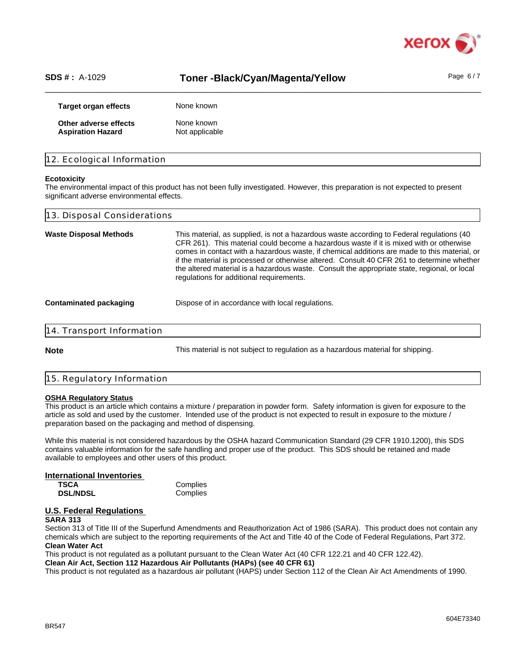

## SDS #: A-1029 **Toner -Black/Cyan/Magenta/Yellow** Page 6/7

| Target organ effects     | None known     |
|--------------------------|----------------|
| Other adverse effects    | None known     |
| <b>Aspiration Hazard</b> | Not applicable |

## 12. Ecological Information

#### **Ecotoxicity**

The environmental impact of this product has not been fully investigated. However, this preparation is not expected to present significant adverse environmental effects.

| 13. Disposal Considerations   |                                                                                                                                                                                                                                                                                                                                                                                                                                                                                                                                 |  |
|-------------------------------|---------------------------------------------------------------------------------------------------------------------------------------------------------------------------------------------------------------------------------------------------------------------------------------------------------------------------------------------------------------------------------------------------------------------------------------------------------------------------------------------------------------------------------|--|
| <b>Waste Disposal Methods</b> | This material, as supplied, is not a hazardous waste according to Federal regulations (40)<br>CFR 261). This material could become a hazardous waste if it is mixed with or otherwise<br>comes in contact with a hazardous waste, if chemical additions are made to this material, or<br>if the material is processed or otherwise altered. Consult 40 CFR 261 to determine whether<br>the altered material is a hazardous waste. Consult the appropriate state, regional, or local<br>regulations for additional requirements. |  |
| Contaminated packaging        | Dispose of in accordance with local regulations.                                                                                                                                                                                                                                                                                                                                                                                                                                                                                |  |
| 14. Transport Information     |                                                                                                                                                                                                                                                                                                                                                                                                                                                                                                                                 |  |
|                               |                                                                                                                                                                                                                                                                                                                                                                                                                                                                                                                                 |  |

**Note** This material is not subject to regulation as a hazardous material for shipping.

#### 15. Regulatory Information

#### **OSHA Regulatory Status**

This product is an article which contains a mixture / preparation in powder form. Safety information is given for exposure to the article as sold and used by the customer. Intended use of the product is not expected to result in exposure to the mixture / preparation based on the packaging and method of dispensing.

While this material is not considered hazardous by the OSHA hazard Communication Standard (29 CFR 1910.1200), this SDS contains valuable information for the safe handling and proper use of the product. This SDS should be retained and made available to employees and other users of this product.

# **International Inventories TSCA** Complies<br> **DSL/NDSL** Complies

**DSL/NDSL** 

# **U.S. Federal Regulations**

## **SARA 313**

Section 313 of Title III of the Superfund Amendments and Reauthorization Act of 1986 (SARA). This product does not contain any chemicals which are subject to the reporting requirements of the Act and Title 40 of the Code of Federal Regulations, Part 372. **Clean Water Act**

This product is not regulated as a pollutant pursuant to the Clean Water Act (40 CFR 122.21 and 40 CFR 122.42).

**Clean Air Act, Section 112 Hazardous Air Pollutants (HAPs) (see 40 CFR 61)**

This product is not regulated as a hazardous air pollutant (HAPS) under Section 112 of the Clean Air Act Amendments of 1990.